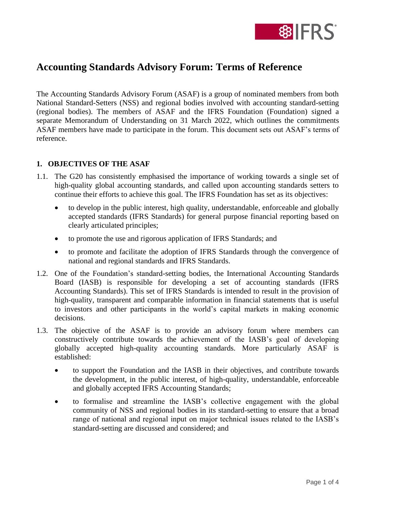

# **Accounting Standards Advisory Forum: Terms of Reference**

The Accounting Standards Advisory Forum (ASAF) is a group of nominated members from both National Standard-Setters (NSS) and regional bodies involved with accounting standard-setting (regional bodies). The members of ASAF and the IFRS Foundation (Foundation) signed a separate Memorandum of Understanding on 31 March 2022, which outlines the commitments ASAF members have made to participate in the forum. This document sets out ASAF's terms of reference.

#### **1. OBJECTIVES OF THE ASAF**

- 1.1. The G20 has consistently emphasised the importance of working towards a single set of high-quality global accounting standards, and called upon accounting standards setters to continue their efforts to achieve this goal. The IFRS Foundation has set as its objectives:
	- to develop in the public interest, high quality, understandable, enforceable and globally accepted standards (IFRS Standards) for general purpose financial reporting based on clearly articulated principles;
	- to promote the use and rigorous application of IFRS Standards; and
	- to promote and facilitate the adoption of IFRS Standards through the convergence of national and regional standards and IFRS Standards.
- 1.2. One of the Foundation's standard-setting bodies, the International Accounting Standards Board (IASB) is responsible for developing a set of accounting standards (IFRS Accounting Standards). This set of IFRS Standards is intended to result in the provision of high-quality, transparent and comparable information in financial statements that is useful to investors and other participants in the world's capital markets in making economic decisions.
- 1.3. The objective of the ASAF is to provide an advisory forum where members can constructively contribute towards the achievement of the IASB's goal of developing globally accepted high-quality accounting standards. More particularly ASAF is established:
	- to support the Foundation and the IASB in their objectives, and contribute towards the development, in the public interest, of high-quality, understandable, enforceable and globally accepted IFRS Accounting Standards;
	- to formalise and streamline the IASB's collective engagement with the global community of NSS and regional bodies in its standard-setting to ensure that a broad range of national and regional input on major technical issues related to the IASB's standard-setting are discussed and considered; and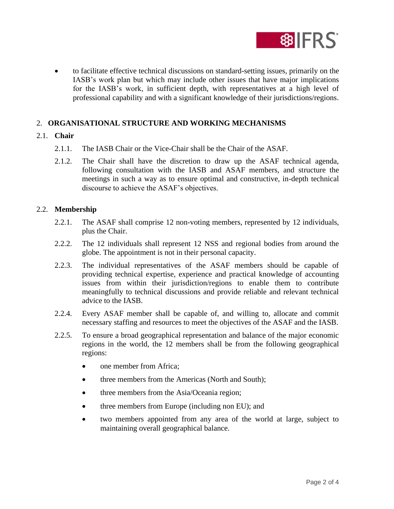

• to facilitate effective technical discussions on standard-setting issues, primarily on the IASB's work plan but which may include other issues that have major implications for the IASB's work, in sufficient depth, with representatives at a high level of professional capability and with a significant knowledge of their jurisdictions/regions.

## 2. **ORGANISATIONAL STRUCTURE AND WORKING MECHANISMS**

## 2.1. **Chair**

- 2.1.1. The IASB Chair or the Vice-Chair shall be the Chair of the ASAF.
- 2.1.2. The Chair shall have the discretion to draw up the ASAF technical agenda, following consultation with the IASB and ASAF members, and structure the meetings in such a way as to ensure optimal and constructive, in-depth technical discourse to achieve the ASAF's objectives.

## 2.2. **Membership**

- 2.2.1. The ASAF shall comprise 12 non-voting members, represented by 12 individuals, plus the Chair.
- 2.2.2. The 12 individuals shall represent 12 NSS and regional bodies from around the globe. The appointment is not in their personal capacity.
- 2.2.3. The individual representatives of the ASAF members should be capable of providing technical expertise, experience and practical knowledge of accounting issues from within their jurisdiction/regions to enable them to contribute meaningfully to technical discussions and provide reliable and relevant technical advice to the IASB.
- 2.2.4. Every ASAF member shall be capable of, and willing to, allocate and commit necessary staffing and resources to meet the objectives of the ASAF and the IASB.
- 2.2.5. To ensure a broad geographical representation and balance of the major economic regions in the world, the 12 members shall be from the following geographical regions:
	- one member from Africa:
	- three members from the Americas (North and South);
	- three members from the Asia/Oceania region;
	- three members from Europe (including non EU); and
	- two members appointed from any area of the world at large, subject to maintaining overall geographical balance.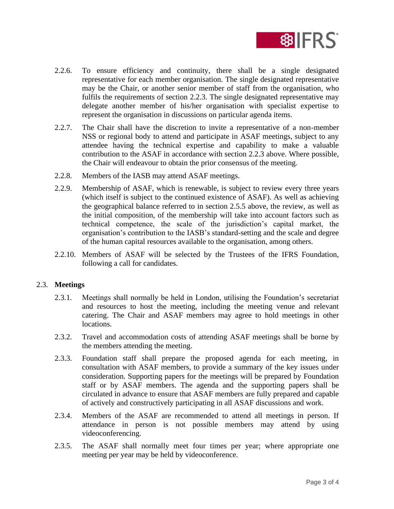

- 2.2.6. To ensure efficiency and continuity, there shall be a single designated representative for each member organisation. The single designated representative may be the Chair, or another senior member of staff from the organisation, who fulfils the requirements of section 2.2.3. The single designated representative may delegate another member of his/her organisation with specialist expertise to represent the organisation in discussions on particular agenda items.
- 2.2.7. The Chair shall have the discretion to invite a representative of a non-member NSS or regional body to attend and participate in ASAF meetings, subject to any attendee having the technical expertise and capability to make a valuable contribution to the ASAF in accordance with section 2.2.3 above. Where possible, the Chair will endeavour to obtain the prior consensus of the meeting.
- 2.2.8. Members of the IASB may attend ASAF meetings.
- 2.2.9. Membership of ASAF, which is renewable, is subject to review every three years (which itself is subject to the continued existence of ASAF). As well as achieving the geographical balance referred to in section 2.5.5 above, the review, as well as the initial composition, of the membership will take into account factors such as technical competence, the scale of the jurisdiction's capital market, the organisation's contribution to the IASB's standard-setting and the scale and degree of the human capital resources available to the organisation, among others.
- 2.2.10. Members of ASAF will be selected by the Trustees of the IFRS Foundation, following a call for candidates.

## 2.3. **Meetings**

- 2.3.1. Meetings shall normally be held in London, utilising the Foundation's secretariat and resources to host the meeting, including the meeting venue and relevant catering. The Chair and ASAF members may agree to hold meetings in other locations.
- 2.3.2. Travel and accommodation costs of attending ASAF meetings shall be borne by the members attending the meeting.
- 2.3.3. Foundation staff shall prepare the proposed agenda for each meeting, in consultation with ASAF members, to provide a summary of the key issues under consideration. Supporting papers for the meetings will be prepared by Foundation staff or by ASAF members. The agenda and the supporting papers shall be circulated in advance to ensure that ASAF members are fully prepared and capable of actively and constructively participating in all ASAF discussions and work.
- 2.3.4. Members of the ASAF are recommended to attend all meetings in person. If attendance in person is not possible members may attend by using videoconferencing.
- 2.3.5. The ASAF shall normally meet four times per year; where appropriate one meeting per year may be held by videoconference.